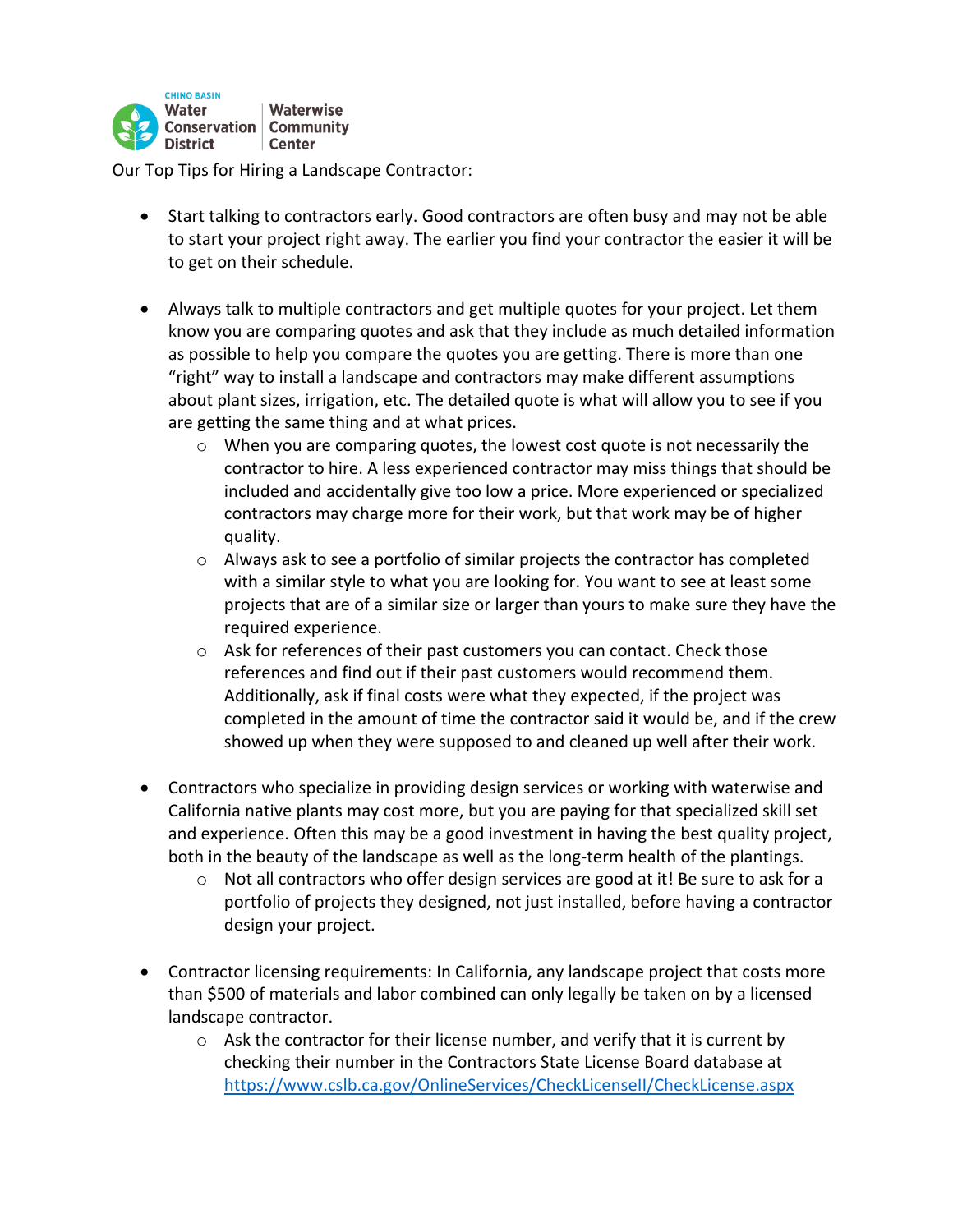

Our Top Tips for Hiring a Landscape Contractor:

- Start talking to contractors early. Good contractors are often busy and may not be able to start your project right away. The earlier you find your contractor the easier it will be to get on their schedule.
- Always talk to multiple contractors and get multiple quotes for your project. Let them know you are comparing quotes and ask that they include as much detailed information as possible to help you compare the quotes you are getting. There is more than one "right" way to install a landscape and contractors may make different assumptions about plant sizes, irrigation, etc. The detailed quote is what will allow you to see if you are getting the same thing and at what prices.
	- $\circ$  When you are comparing quotes, the lowest cost quote is not necessarily the contractor to hire. A less experienced contractor may miss things that should be included and accidentally give too low a price. More experienced or specialized contractors may charge more for their work, but that work may be of higher quality.
	- $\circ$  Always ask to see a portfolio of similar projects the contractor has completed with a similar style to what you are looking for. You want to see at least some projects that are of a similar size or larger than yours to make sure they have the required experience.
	- o Ask for references of their past customers you can contact. Check those references and find out if their past customers would recommend them. Additionally, ask if final costs were what they expected, if the project was completed in the amount of time the contractor said it would be, and if the crew showed up when they were supposed to and cleaned up well after their work.
- Contractors who specialize in providing design services or working with waterwise and California native plants may cost more, but you are paying for that specialized skill set and experience. Often this may be a good investment in having the best quality project, both in the beauty of the landscape as well as the long-term health of the plantings.
	- $\circ$  Not all contractors who offer design services are good at it! Be sure to ask for a portfolio of projects they designed, not just installed, before having a contractor design your project.
- Contractor licensing requirements: In California, any landscape project that costs more than \$500 of materials and labor combined can only legally be taken on by a licensed landscape contractor.
	- $\circ$  Ask the contractor for their license number, and verify that it is current by checking their number in the Contractors State License Board database at https://www.cslb.ca.gov/OnlineServices/CheckLicenseII/CheckLicense.aspx